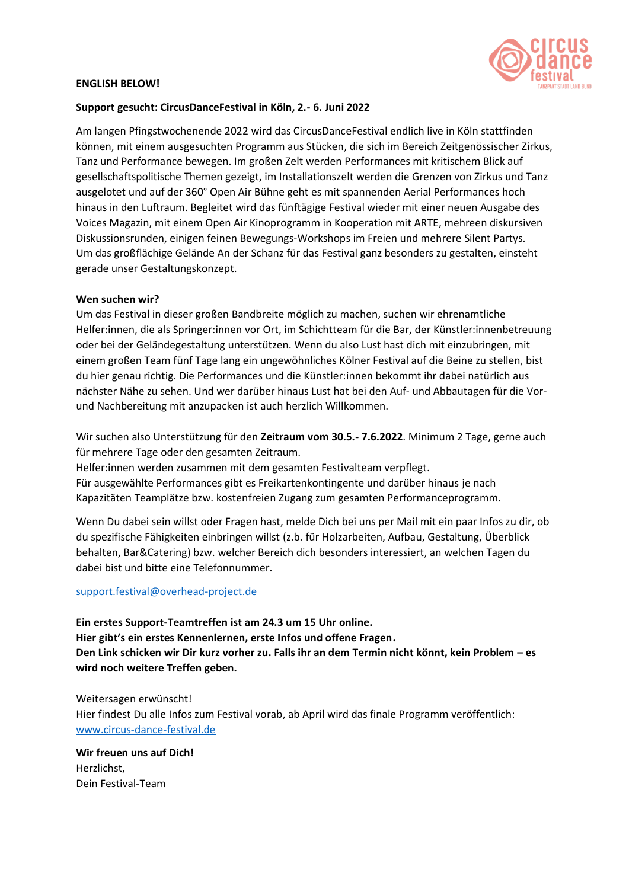

### **ENGLISH BELOW!**

## **Support gesucht: CircusDanceFestival in Köln, 2.- 6. Juni 2022**

Am langen Pfingstwochenende 2022 wird das CircusDanceFestival endlich live in Köln stattfinden können, mit einem ausgesuchten Programm aus Stücken, die sich im Bereich Zeitgenössischer Zirkus, Tanz und Performance bewegen. Im großen Zelt werden Performances mit kritischem Blick auf gesellschaftspolitische Themen gezeigt, im Installationszelt werden die Grenzen von Zirkus und Tanz ausgelotet und auf der 360° Open Air Bühne geht es mit spannenden Aerial Performances hoch hinaus in den Luftraum. Begleitet wird das fünftägige Festival wieder mit einer neuen Ausgabe des Voices Magazin, mit einem Open Air Kinoprogramm in Kooperation mit ARTE, mehreen diskursiven Diskussionsrunden, einigen feinen Bewegungs-Workshops im Freien und mehrere Silent Partys. Um das großflächige Gelände An der Schanz für das Festival ganz besonders zu gestalten, einsteht gerade unser Gestaltungskonzept.

## **Wen suchen wir?**

Um das Festival in dieser großen Bandbreite möglich zu machen, suchen wir ehrenamtliche Helfer:innen, die als Springer:innen vor Ort, im Schichtteam für die Bar, der Künstler:innenbetreuung oder bei der Geländegestaltung unterstützen. Wenn du also Lust hast dich mit einzubringen, mit einem großen Team fünf Tage lang ein ungewöhnliches Kölner Festival auf die Beine zu stellen, bist du hier genau richtig. Die Performances und die Künstler:innen bekommt ihr dabei natürlich aus nächster Nähe zu sehen. Und wer darüber hinaus Lust hat bei den Auf- und Abbautagen für die Vorund Nachbereitung mit anzupacken ist auch herzlich Willkommen.

Wir suchen also Unterstützung für den **Zeitraum vom 30.5.- 7.6.2022**. Minimum 2 Tage, gerne auch für mehrere Tage oder den gesamten Zeitraum.

Helfer:innen werden zusammen mit dem gesamten Festivalteam verpflegt.

Für ausgewählte Performances gibt es Freikartenkontingente und darüber hinaus je nach Kapazitäten Teamplätze bzw. kostenfreien Zugang zum gesamten Performanceprogramm.

Wenn Du dabei sein willst oder Fragen hast, melde Dich bei uns per Mail mit ein paar Infos zu dir, ob du spezifische Fähigkeiten einbringen willst (z.b. für Holzarbeiten, Aufbau, Gestaltung, Überblick behalten, Bar&Catering) bzw. welcher Bereich dich besonders interessiert, an welchen Tagen du dabei bist und bitte eine Telefonnummer.

#### [support.festival@overhead-project.de](mailto:support.festival@overhead-project.de)

**Ein erstes Support-Teamtreffen ist am 24.3 um 15 Uhr online. Hier gibt's ein erstes Kennenlernen, erste Infos und offene Fragen. Den Link schicken wir Dir kurz vorher zu. Falls ihr an dem Termin nicht könnt, kein Problem – es wird noch weitere Treffen geben.**

Weitersagen erwünscht! Hier findest Du alle Infos zum Festival vorab, ab April wird das finale Programm veröffentlich: [www.circus-dance-festival.de](http://www.circus-dance-festival.de/)

**Wir freuen uns auf Dich!**  Herzlichst, Dein Festival-Team